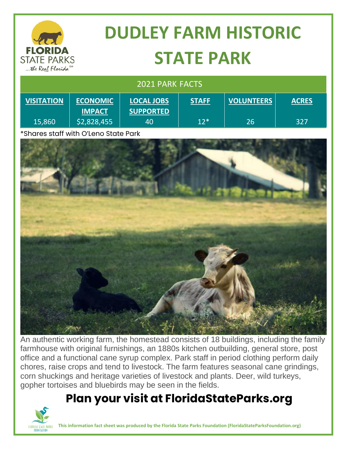

# **DUDLEY FARM HISTORIC STATE PARK**

| 2021 PARK FACTS   |                                  |                                       |              |                   |              |
|-------------------|----------------------------------|---------------------------------------|--------------|-------------------|--------------|
| <b>VISITATION</b> | <b>ECONOMIC</b><br><b>IMPACT</b> | <b>LOCAL JOBS</b><br><b>SUPPORTED</b> | <b>STAFF</b> | <b>VOLUNTEERS</b> | <b>ACRES</b> |
| 15,860            | \$2,828,455                      | 40                                    | $12*$        | 26                | 327          |

\*Shares staff with O'Leno State Park



An authentic working farm, the homestead consists of 18 buildings, including the family farmhouse with original furnishings, an 1880s kitchen outbuilding, general store, post office and a functional cane syrup complex. Park staff in period clothing perform daily chores, raise crops and tend to livestock. The farm features seasonal cane grindings, corn shuckings and heritage varieties of livestock and plants. Deer, wild turkeys, gopher tortoises and bluebirds may be seen in the fields.

### **Plan your visit at FloridaStateParks.org**



**This information fact sheet was produced by the Florida State Parks Foundation (FloridaStateParksFoundation.org)**